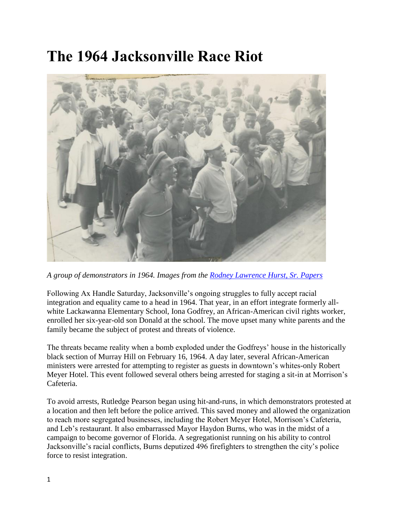## **The 1964 Jacksonville Race Riot**



*A group of demonstrators in 1964. Images from the [Rodney Lawrence Hurst, Sr. Papers](https://digitalcommons.unf.edu/hurstimages/45/)*

Following Ax Handle Saturday, Jacksonville's ongoing struggles to fully accept racial integration and equality came to a head in 1964. That year, in an effort integrate formerly allwhite Lackawanna Elementary School, Iona Godfrey, an African-American civil rights worker, enrolled her six-year-old son Donald at the school. The move upset many white parents and the family became the subject of protest and threats of violence.

The threats became reality when a bomb exploded under the Godfreys' house in the historically black section of Murray Hill on February 16, 1964. A day later, several African-American ministers were arrested for attempting to register as guests in downtown's whites-only Robert Meyer Hotel. This event followed several others being arrested for staging a sit-in at Morrison's Cafeteria.

To avoid arrests, Rutledge Pearson began using hit-and-runs, in which demonstrators protested at a location and then left before the police arrived. This saved money and allowed the organization to reach more segregated businesses, including the Robert Meyer Hotel, Morrison's Cafeteria, and Leb's restaurant. It also embarrassed Mayor Haydon Burns, who was in the midst of a campaign to become governor of Florida. A segregationist running on his ability to control Jacksonville's racial conflicts, Burns deputized 496 firefighters to strengthen the city's police force to resist integration.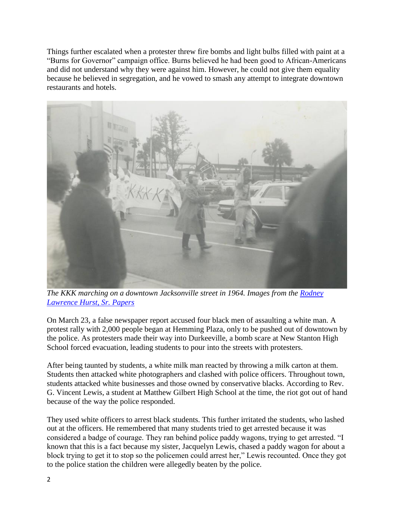Things further escalated when a protester threw fire bombs and light bulbs filled with paint at a "Burns for Governor" campaign office. Burns believed he had been good to African-Americans and did not understand why they were against him. However, he could not give them equality because he believed in segregation, and he vowed to smash any attempt to integrate downtown restaurants and hotels.



*The KKK marching on a downtown Jacksonville street in 1964. Images from the [Rodney](https://digitalcommons.unf.edu/hurstimages/45/)  [Lawrence Hurst, Sr. Papers](https://digitalcommons.unf.edu/hurstimages/45/)*

On March 23, a false newspaper report accused four black men of assaulting a white man. A protest rally with 2,000 people began at Hemming Plaza, only to be pushed out of downtown by the police. As protesters made their way into Durkeeville, a bomb scare at New Stanton High School forced evacuation, leading students to pour into the streets with protesters.

After being taunted by students, a white milk man reacted by throwing a milk carton at them. Students then attacked white photographers and clashed with police officers. Throughout town, students attacked white businesses and those owned by conservative blacks. According to Rev. G. Vincent Lewis, a student at Matthew Gilbert High School at the time, the riot got out of hand because of the way the police responded.

They used white officers to arrest black students. This further irritated the students, who lashed out at the officers. He remembered that many students tried to get arrested because it was considered a badge of courage. They ran behind police paddy wagons, trying to get arrested. "I known that this is a fact because my sister, Jacquelyn Lewis, chased a paddy wagon for about a block trying to get it to stop so the policemen could arrest her," Lewis recounted. Once they got to the police station the children were allegedly beaten by the police.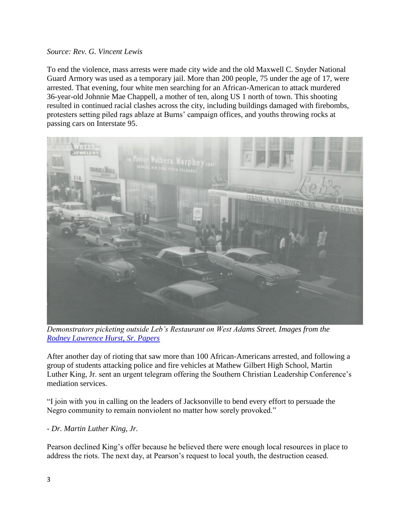## *Source: Rev. G. Vincent Lewis*

To end the violence, mass arrests were made city wide and the old Maxwell C. Snyder National Guard Armory was used as a temporary jail. More than 200 people, 75 under the age of 17, were arrested. That evening, four white men searching for an African-American to attack murdered 36-year-old Johnnie Mae Chappell, a mother of ten, along US 1 north of town. This shooting resulted in continued racial clashes across the city, including buildings damaged with firebombs, protesters setting piled rags ablaze at Burns' campaign offices, and youths throwing rocks at passing cars on Interstate 95.



*Demonstrators picketing outside Leb's Restaurant on West Adams Street. Images from the [Rodney Lawrence Hurst, Sr. Papers](https://digitalcommons.unf.edu/hurstimages/45/)*

After another day of rioting that saw more than 100 African-Americans arrested, and following a group of students attacking police and fire vehicles at Mathew Gilbert High School, Martin Luther King, Jr. sent an urgent telegram offering the Southern Christian Leadership Conference's mediation services.

"I join with you in calling on the leaders of Jacksonville to bend every effort to persuade the Negro community to remain nonviolent no matter how sorely provoked."

*- Dr. Martin Luther King, Jr.*

Pearson declined King's offer because he believed there were enough local resources in place to address the riots. The next day, at Pearson's request to local youth, the destruction ceased.